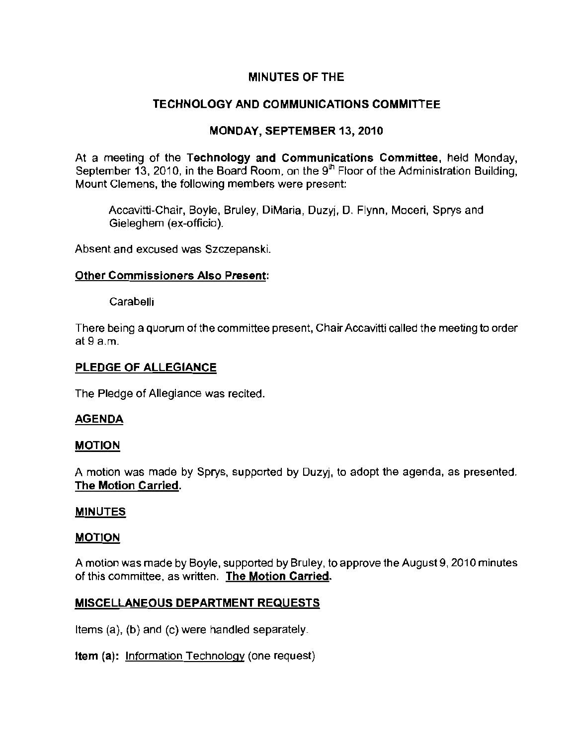## MINUTES OF THE

# TECHNOLOGY AND COMMUNICATIONS COMMITTEE

# MONDAY, SEPTEMBER 13, 2010

At a meeting of the Technology and Communications Committee, held Monday, September 13, 2010, in the Board Room, on the  $9<sup>th</sup>$  Floor of the Administration Building, **Mount Clemens, the following members were present:** 

Accavitti-Chair, Boyle, Bruley, DiMaria, Duzyj, D. Flynn, Moceri, Sprys and Gieleghem (ex-officio).

**Absent and excused was Szczepanski.** 

## Other Commissioners Also Present:

**Carabelli** 

There being a quorum of the committee present, Chair Accavitti called the meeting to order at 9 a.m,

## PLEDGE OF ALLEGIANCE

The Pledge of Allegiance was recited,

## AGENDA

## MOTION

A motion was made by Sprys, supported by Duzyj, to adopt the agenda, as presented. The Motion Carried.

## **MINUTES**

### MOTION

A motion was made by Boyle, supported by Bruley, to approve the August 9, 2010 minutes **of this committee, as written. The Motion Carried.** 

## MISCELLANEOUS DEPARTMENT REQUESTS

Items (a), (b) and (c) were handled separately.

Item (a): Information Technology (one request)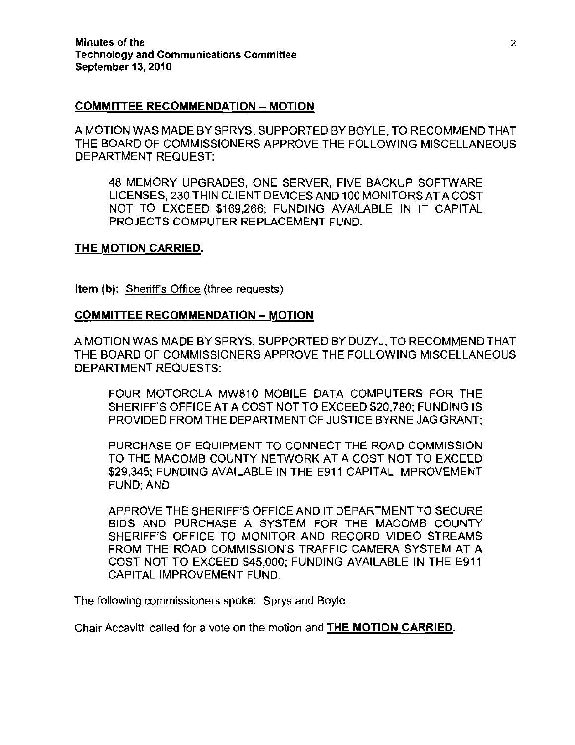### **COMMITTEE RECOMMENDATION - MOTION**

A MOTION WAS MADE BY SPRYS, SUPPORTED BY BOYLE, TO RECOMMEND THAT THE BOARD OF COMMISSIONERS APPROVE THE FOLLOWING MISCELLANEOUS DEPARTMENT REQUEST:

48 MEMORY UPGRADES, ONE SERVER, FIVE BACKUP SOFTWARE LICENSES, 230 THIN CLIENT DEVICES AND 100 MONITORS AT A COST NOT TO EXCEED \$169,266; FUNDING AVAILABLE IN IT CAPITAL PROJECTS COMPUTER REPLACEMENT FUND.

#### **THE MOTION** CARRIED.

Item (b): Sheriffs Office (three requests)

### **COMMITTEE RECOMMENDATION - MOTION**

A MOTION WAS MADE BY SPRYS, SUPPORTED BY DUZYJ, TO RECOMMEND THAT THE BOARD OF COMMISSIONERS APPROVE THE FOLLOWING MISCELLANEOUS DEPARTMENT REQUESTS:

FOUR MOTOROLA MW810 MOBILE DATA COMPUTERS FOR THE SHERIFF'S OFFICE AT A COST NOT TO EXCEED \$20,780; FUNDING IS PROVIDED FROM THE DEPARTMENT OF JUSTICE BYRNE JAG GRANT;

PURCHASE OF EQUIPMENT TO CONNECT THE ROAD COMMISSION TO THE MACOMB COUNTY NETWORK AT A COST NOT TO EXCEED \$29,345; FUNDING AVAILABLE IN THE E911 CAPITAL IMPROVEMENT FUND; AND

APPROVE THE SHERIFF'S OFFICE AND IT DEPARTMENT TO SECURE BIDS AND PURCHASE A SYSTEM FOR THE MACOMB COUNTY SHERIFF'S OFFICE TO MONITOR AND RECORD VIDEO STREAMS FROM THE ROAD COMMISSION'S TRAFFIC CAMERA SYSTEM AT A COST NOT TO EXCEED \$45,000; FUNDING AVAILABLE IN THE E911 CAPITAL IMPROVEMENT FUND.

The following commissioners spoke: Sprys and Boyle.

Chair Accavitti called for a vote on the motion and **THE** MOTION CARRIED.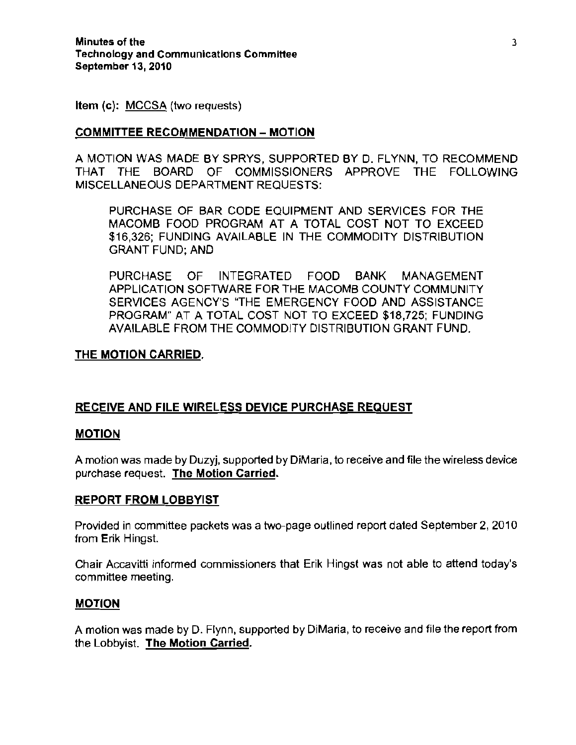Item (c): MCCSA (two requests)

### COMMITTEE RECOMMENDATION - MOTION

A MOTION WAS MADE BY SPRYS, SUPPORTED BY D, FLYNN, TO RECOMMEND THAT THE BOARD OF COMMISSIONERS APPROVE THE FOLLOWING MISCELLANEOUS DEPARTMENT REQUESTS:

PURCHASE OF BAR CODE EQUIPMENT AND SERVICES FOR THE MACOMB FOOD PROGRAM AT A TOTAL COST NOT TO EXCEED \$16,326; FUNDING AVAILABLE IN THE COMMODITY DISTRIBUTION GRANT FUND; AND

PURCHASE OF INTEGRATED FOOD BANK MANAGEMENT APPLICATION SOFTWARE FOR THE MACOMB COUNTY COMMUNITY SERVICES AGENCY'S "THE EMERGENCY FOOD AND ASSISTANCE PROGRAM" AT A TOTAL COST NOT TO EXCEED \$18,725; FUNDING AVAILABLE FROM THE COMMODITY DISTRIBUTION GRANT FUND.

### THE MOTION CARRIED.

## RECEIVE AND FILE WIRELESS DEVICE PURCHASE REQUEST

### MOTION

A motion was made by Duzyj, supported by DiMaria, to receive and file the wireless device purchase request. The Motion Carried.

### REPORT FROM LOBBYIST

Provided in committee packets was a two-page outlined report dated September 2,2010 from Erik Hingst.

Chair Accavitti informed commissioners that Erik Hingst was not able to attend today's committee meeting.

### MOTION

A motion was made by D. Flynn, supported by DiMaria, to receive and file the report from the Lobbyist. The Motion Carried.